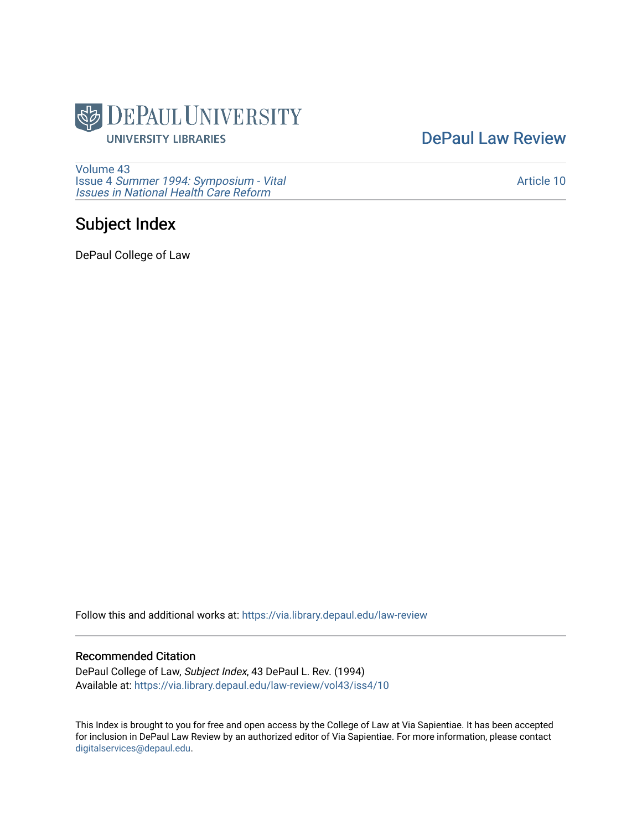

[DePaul Law Review](https://via.library.depaul.edu/law-review) 

[Volume 43](https://via.library.depaul.edu/law-review/vol43) Issue 4 [Summer 1994: Symposium - Vital](https://via.library.depaul.edu/law-review/vol43/iss4) [Issues in National Health Care Reform](https://via.library.depaul.edu/law-review/vol43/iss4) 

# Subject Index

DePaul College of Law

Follow this and additional works at: [https://via.library.depaul.edu/law-review](https://via.library.depaul.edu/law-review?utm_source=via.library.depaul.edu%2Flaw-review%2Fvol43%2Fiss4%2F10&utm_medium=PDF&utm_campaign=PDFCoverPages) 

### Recommended Citation

DePaul College of Law, Subject Index, 43 DePaul L. Rev. (1994) Available at: [https://via.library.depaul.edu/law-review/vol43/iss4/10](https://via.library.depaul.edu/law-review/vol43/iss4/10?utm_source=via.library.depaul.edu%2Flaw-review%2Fvol43%2Fiss4%2F10&utm_medium=PDF&utm_campaign=PDFCoverPages)

This Index is brought to you for free and open access by the College of Law at Via Sapientiae. It has been accepted for inclusion in DePaul Law Review by an authorized editor of Via Sapientiae. For more information, please contact [digitalservices@depaul.edu.](mailto:digitalservices@depaul.edu)

[Article 10](https://via.library.depaul.edu/law-review/vol43/iss4/10)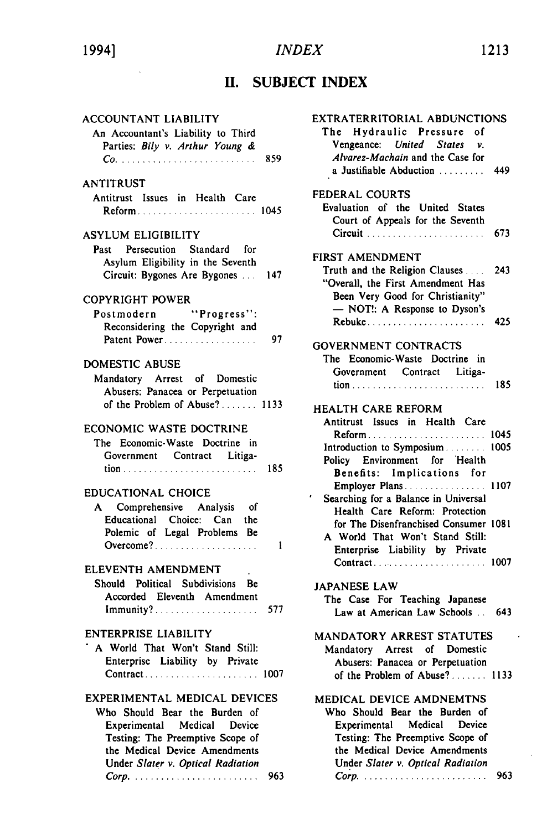# **INDEX**

# 1994]

#### 1213

## II. SUBJECT INDEX

 $\epsilon$ 

| <b>ACCOUNTANT LIABILITY</b><br>An Accountant's Liability to Third                                                                                                                                         |     |
|-----------------------------------------------------------------------------------------------------------------------------------------------------------------------------------------------------------|-----|
| Parties: Bily v. Arthur Young &                                                                                                                                                                           |     |
| ANTITRUST<br>Antitrust Issues in Health Care<br>Reform 1045                                                                                                                                               |     |
| <b>ASYLUM ELIGIBILITY</b><br>Past Persecution Standard for<br>Asylum Eligibility in the Seventh<br>Circuit: Bygones Are Bygones  147                                                                      |     |
| COPYRIGHT POWER<br>Postmodern "Progress":<br>Reconsidering the Copyright and<br>Patent Power                                                                                                              | 97  |
| DOMESTIC ABUSE<br>Mandatory Arrest of Domestic<br>Abusers: Panacea or Perpetuation                                                                                                                        |     |
| ECONOMIC WASTE DOCTRINE<br>The Economic-Waste Doctrine in<br>Government Contract Litiga-                                                                                                                  |     |
| <b>EDUCATIONAL CHOICE</b><br>A Comprehensive Analysis of<br>Educational Choice: Can the<br>Polemic of Legal Problems Be<br>Overcome?                                                                      | 1   |
| ELEVENTH AMENDMENT<br>Should Political Subdivisions Be<br>Accorded Eleventh Amendment<br>Immunity? 577                                                                                                    |     |
| <b>ENTERPRISE LIABILITY</b><br>' A World That Won't Stand Still:<br>Enterprise Liability by Private<br>Contract 1007                                                                                      |     |
| EXPERIMENTAL MEDICAL DEVICES<br>Who Should Bear the Burden of<br>Experimental Medical<br>Device<br>Testing: The Preemptive Scope of<br>the Medical Device Amendments<br>Under Slater v. Optical Radiation | 963 |

| EXTRATERRITORIAL ABDUNCTIONS                                 |     |
|--------------------------------------------------------------|-----|
| The Hydraulic Pressure of                                    |     |
| Vengeance: United States<br>$\mathbf{v}$ .                   |     |
| Alvarez-Machain and the Case for                             |     |
| a Justifiable Abduction                                      | 449 |
| FEDERAL COURTS                                               |     |
| Evaluation of the United States                              |     |
| Court of Appeals for the Seventh                             |     |
| Circuit  673                                                 |     |
|                                                              |     |
| <b>FIRST AMENDMENT</b>                                       |     |
| Truth and the Religion Clauses                               | 243 |
| "Overall, the First Amendment Has                            |     |
| Been Very Good for Christianity"                             |     |
| - NOT!: A Response to Dyson's                                |     |
| Rebuke 425                                                   |     |
|                                                              |     |
| <b>GOVERNMENT CONTRACTS</b>                                  |     |
| The Economic-Waste Doctrine in                               |     |
| Government Contract Litiga-                                  |     |
|                                                              |     |
| <b>HEALTH CARE REFORM</b>                                    |     |
| Antitrust Issues in Health Care                              |     |
| Reform 1045                                                  |     |
| Introduction to Symposium 1005                               |     |
| Policy Environment for Health                                |     |
| Benefits: Implications for                                   |     |
| Employer Plans 1107                                          |     |
| ,<br>Searching for a Balance in Universal                    |     |
| Health Care Reform: Protection                               |     |
| for The Disenfranchised Consumer 1081                        |     |
| A World That Won't Stand Still:                              |     |
| Enterprise Liability by Private                              |     |
|                                                              |     |
| <b>JAPANESE LAW</b>                                          |     |
| The Case For Teaching Japanese                               |     |
| Law at American Law Schools . 643                            |     |
|                                                              |     |
| MANDATORY ARREST STATUTES                                    |     |
| Mandatory Arrest of Domestic                                 |     |
| Abusers: Panacea or Perpetuation                             |     |
| of the Problem of Abuse? 1133                                |     |
|                                                              |     |
| MEDICAL DEVICE AMDNEMTNS                                     |     |
| Who Should Bear the Burden of<br>Experimental Medical Device |     |
| Testing: The Preemptive Scope of                             |     |
| the Medical Device Amendments                                |     |
|                                                              |     |

Under Slater v. Optical Radiation